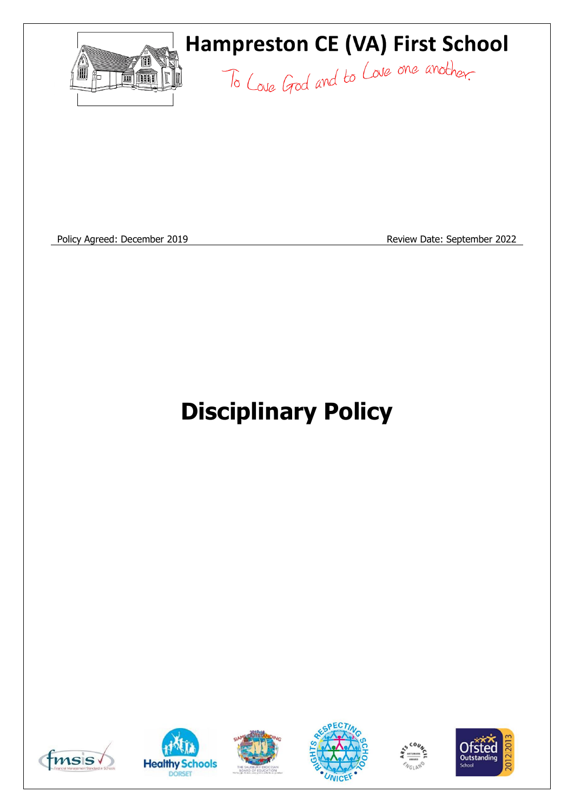

Policy Agreed: December 2019 **Review Date: September 2022** 

# **Disciplinary Policy**











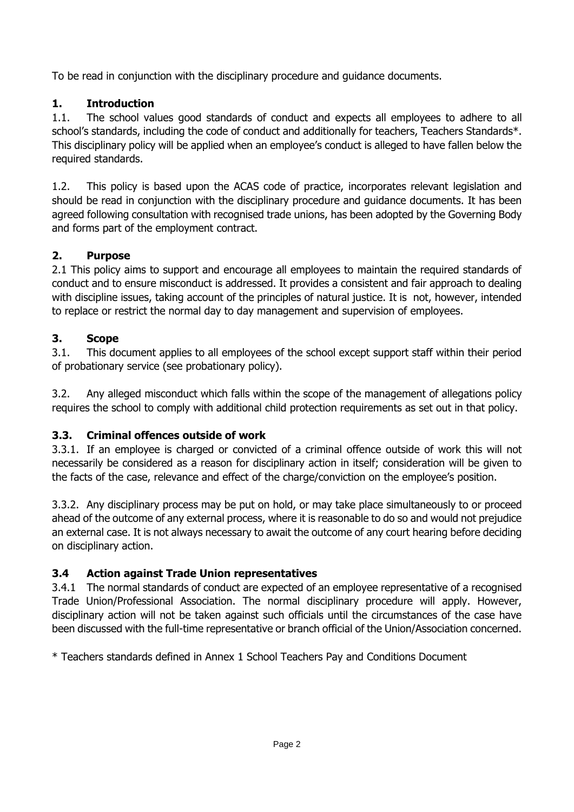To be read in conjunction with the disciplinary procedure and guidance documents.

# **1. Introduction**

1.1. The school values good standards of conduct and expects all employees to adhere to all school's standards, including the code of conduct and additionally for teachers, Teachers Standards\*. This disciplinary policy will be applied when an employee's conduct is alleged to have fallen below the required standards.

1.2. This policy is based upon the ACAS code of practice, incorporates relevant legislation and should be read in conjunction with the disciplinary procedure and guidance documents. It has been agreed following consultation with recognised trade unions, has been adopted by the Governing Body and forms part of the employment contract.

## **2. Purpose**

2.1 This policy aims to support and encourage all employees to maintain the required standards of conduct and to ensure misconduct is addressed. It provides a consistent and fair approach to dealing with discipline issues, taking account of the principles of natural justice. It is not, however, intended to replace or restrict the normal day to day management and supervision of employees.

## **3. Scope**

3.1. This document applies to all employees of the school except support staff within their period of probationary service (see probationary policy).

3.2. Any alleged misconduct which falls within the scope of the management of allegations policy requires the school to comply with additional child protection requirements as set out in that policy.

# **3.3. Criminal offences outside of work**

3.3.1. If an employee is charged or convicted of a criminal offence outside of work this will not necessarily be considered as a reason for disciplinary action in itself; consideration will be given to the facts of the case, relevance and effect of the charge/conviction on the employee's position.

3.3.2. Any disciplinary process may be put on hold, or may take place simultaneously to or proceed ahead of the outcome of any external process, where it is reasonable to do so and would not prejudice an external case. It is not always necessary to await the outcome of any court hearing before deciding on disciplinary action.

# **3.4 Action against Trade Union representatives**

3.4.1 The normal standards of conduct are expected of an employee representative of a recognised Trade Union/Professional Association. The normal disciplinary procedure will apply. However, disciplinary action will not be taken against such officials until the circumstances of the case have been discussed with the full-time representative or branch official of the Union/Association concerned.

\* Teachers standards defined in Annex 1 School Teachers Pay and Conditions Document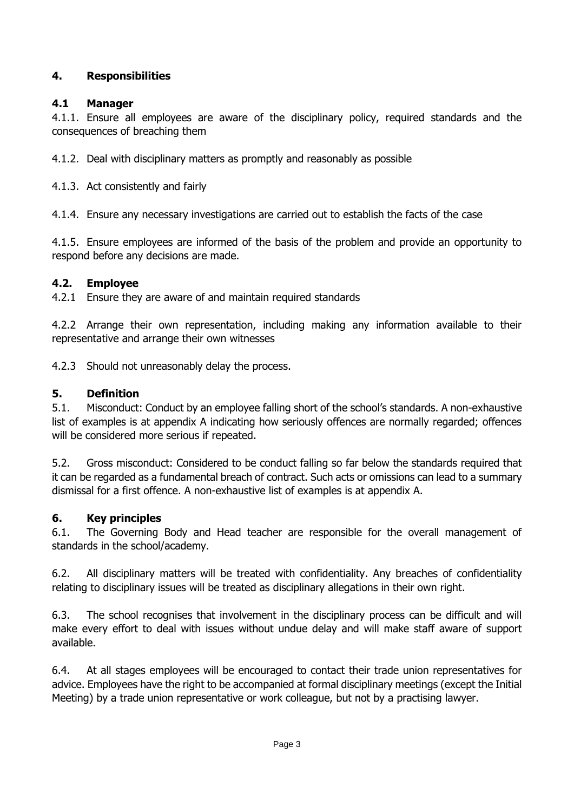## **4. Responsibilities**

#### **4.1 Manager**

4.1.1. Ensure all employees are aware of the disciplinary policy, required standards and the consequences of breaching them

4.1.2. Deal with disciplinary matters as promptly and reasonably as possible

4.1.3. Act consistently and fairly

4.1.4. Ensure any necessary investigations are carried out to establish the facts of the case

4.1.5. Ensure employees are informed of the basis of the problem and provide an opportunity to respond before any decisions are made.

#### **4.2. Employee**

4.2.1 Ensure they are aware of and maintain required standards

4.2.2 Arrange their own representation, including making any information available to their representative and arrange their own witnesses

4.2.3 Should not unreasonably delay the process.

#### **5. Definition**

5.1. Misconduct: Conduct by an employee falling short of the school's standards. A non-exhaustive list of examples is at appendix A indicating how seriously offences are normally regarded; offences will be considered more serious if repeated.

5.2. Gross misconduct: Considered to be conduct falling so far below the standards required that it can be regarded as a fundamental breach of contract. Such acts or omissions can lead to a summary dismissal for a first offence. A non-exhaustive list of examples is at appendix A.

## **6. Key principles**

6.1. The Governing Body and Head teacher are responsible for the overall management of standards in the school/academy.

6.2. All disciplinary matters will be treated with confidentiality. Any breaches of confidentiality relating to disciplinary issues will be treated as disciplinary allegations in their own right.

6.3. The school recognises that involvement in the disciplinary process can be difficult and will make every effort to deal with issues without undue delay and will make staff aware of support available.

6.4. At all stages employees will be encouraged to contact their trade union representatives for advice. Employees have the right to be accompanied at formal disciplinary meetings (except the Initial Meeting) by a trade union representative or work colleague, but not by a practising lawyer.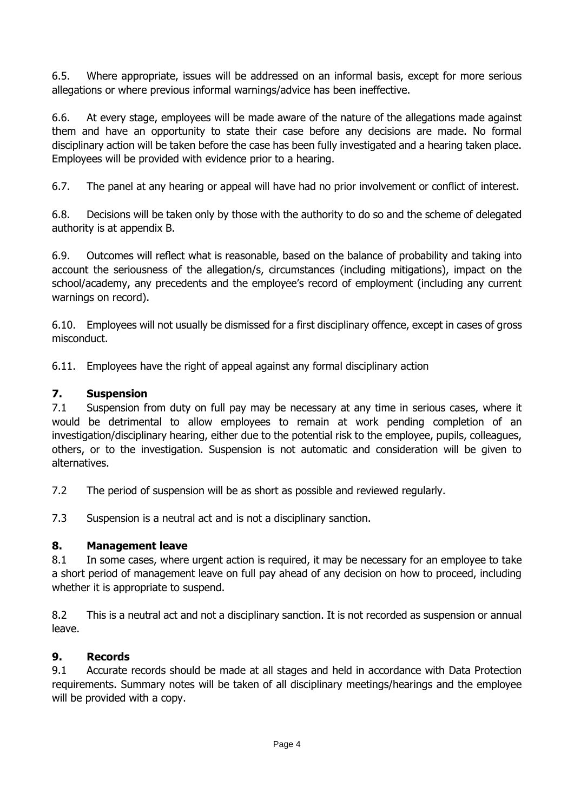6.5. Where appropriate, issues will be addressed on an informal basis, except for more serious allegations or where previous informal warnings/advice has been ineffective.

6.6. At every stage, employees will be made aware of the nature of the allegations made against them and have an opportunity to state their case before any decisions are made. No formal disciplinary action will be taken before the case has been fully investigated and a hearing taken place. Employees will be provided with evidence prior to a hearing.

6.7. The panel at any hearing or appeal will have had no prior involvement or conflict of interest.

6.8. Decisions will be taken only by those with the authority to do so and the scheme of delegated authority is at appendix B.

6.9. Outcomes will reflect what is reasonable, based on the balance of probability and taking into account the seriousness of the allegation/s, circumstances (including mitigations), impact on the school/academy, any precedents and the employee's record of employment (including any current warnings on record).

6.10. Employees will not usually be dismissed for a first disciplinary offence, except in cases of gross misconduct.

6.11. Employees have the right of appeal against any formal disciplinary action

#### **7. Suspension**

7.1 Suspension from duty on full pay may be necessary at any time in serious cases, where it would be detrimental to allow employees to remain at work pending completion of an investigation/disciplinary hearing, either due to the potential risk to the employee, pupils, colleagues, others, or to the investigation. Suspension is not automatic and consideration will be given to alternatives.

7.2 The period of suspension will be as short as possible and reviewed regularly.

7.3 Suspension is a neutral act and is not a disciplinary sanction.

#### **8. Management leave**

8.1 In some cases, where urgent action is required, it may be necessary for an employee to take a short period of management leave on full pay ahead of any decision on how to proceed, including whether it is appropriate to suspend.

8.2 This is a neutral act and not a disciplinary sanction. It is not recorded as suspension or annual leave.

## **9. Records**

9.1 Accurate records should be made at all stages and held in accordance with Data Protection requirements. Summary notes will be taken of all disciplinary meetings/hearings and the employee will be provided with a copy.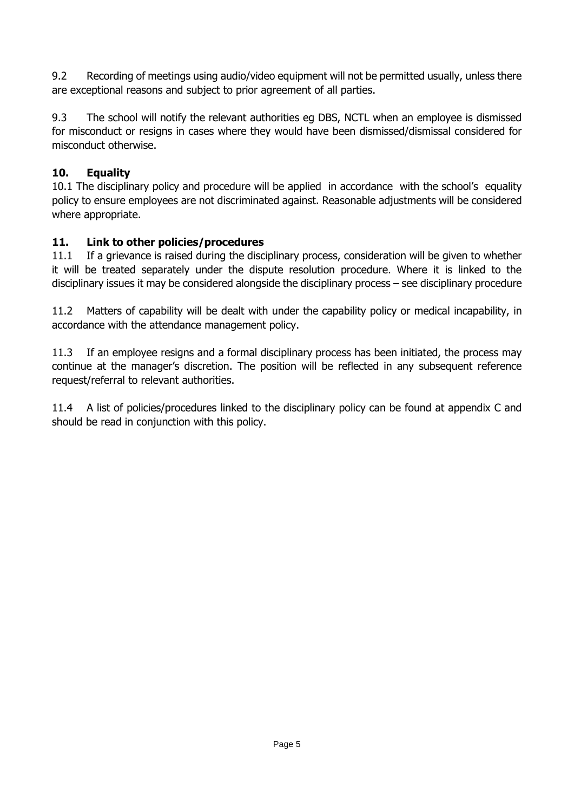9.2 Recording of meetings using audio/video equipment will not be permitted usually, unless there are exceptional reasons and subject to prior agreement of all parties.

9.3 The school will notify the relevant authorities eg DBS, NCTL when an employee is dismissed for misconduct or resigns in cases where they would have been dismissed/dismissal considered for misconduct otherwise.

## **10. Equality**

10.1 The disciplinary policy and procedure will be applied in accordance with the school's equality policy to ensure employees are not discriminated against. Reasonable adjustments will be considered where appropriate.

## **11. Link to other policies/procedures**

11.1 If a grievance is raised during the disciplinary process, consideration will be given to whether it will be treated separately under the dispute resolution procedure. Where it is linked to the disciplinary issues it may be considered alongside the disciplinary process – see disciplinary procedure

11.2 Matters of capability will be dealt with under the capability policy or medical incapability, in accordance with the attendance management policy.

11.3 If an employee resigns and a formal disciplinary process has been initiated, the process may continue at the manager's discretion. The position will be reflected in any subsequent reference request/referral to relevant authorities.

11.4 A list of policies/procedures linked to the disciplinary policy can be found at appendix C and should be read in conjunction with this policy.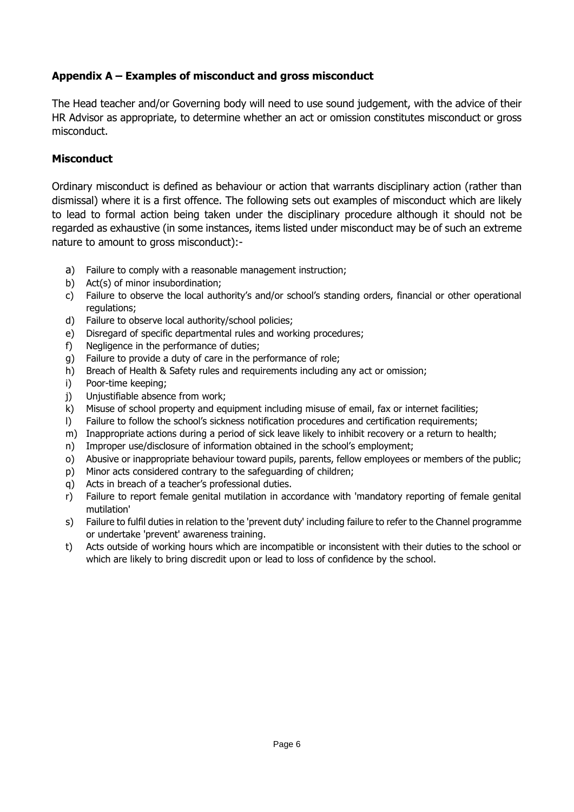## **Appendix A – Examples of misconduct and gross misconduct**

The Head teacher and/or Governing body will need to use sound judgement, with the advice of their HR Advisor as appropriate, to determine whether an act or omission constitutes misconduct or gross misconduct.

#### **Misconduct**

Ordinary misconduct is defined as behaviour or action that warrants disciplinary action (rather than dismissal) where it is a first offence. The following sets out examples of misconduct which are likely to lead to formal action being taken under the disciplinary procedure although it should not be regarded as exhaustive (in some instances, items listed under misconduct may be of such an extreme nature to amount to gross misconduct):-

- a) Failure to comply with a reasonable management instruction;
- b) Act(s) of minor insubordination;
- c) Failure to observe the local authority's and/or school's standing orders, financial or other operational regulations;
- d) Failure to observe local authority/school policies;
- e) Disregard of specific departmental rules and working procedures;
- f) Negligence in the performance of duties;
- g) Failure to provide a duty of care in the performance of role;
- h) Breach of Health & Safety rules and requirements including any act or omission;
- i) Poor-time keeping;
- j) Unjustifiable absence from work;
- k) Misuse of school property and equipment including misuse of email, fax or internet facilities;
- l) Failure to follow the school's sickness notification procedures and certification requirements;
- m) Inappropriate actions during a period of sick leave likely to inhibit recovery or a return to health;
- n) Improper use/disclosure of information obtained in the school's employment;
- o) Abusive or inappropriate behaviour toward pupils, parents, fellow employees or members of the public;
- p) Minor acts considered contrary to the safeguarding of children;
- q) Acts in breach of a teacher's professional duties.
- r) Failure to report female genital mutilation in accordance with 'mandatory reporting of female genital mutilation'
- s) Failure to fulfil duties in relation to the 'prevent duty' including failure to refer to the Channel programme or undertake 'prevent' awareness training.
- t) Acts outside of working hours which are incompatible or inconsistent with their duties to the school or which are likely to bring discredit upon or lead to loss of confidence by the school.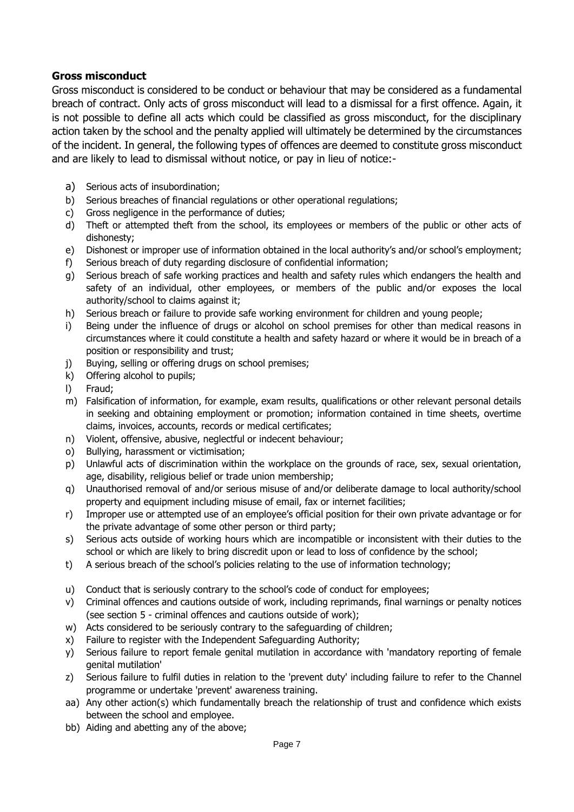#### **Gross misconduct**

Gross misconduct is considered to be conduct or behaviour that may be considered as a fundamental breach of contract. Only acts of gross misconduct will lead to a dismissal for a first offence. Again, it is not possible to define all acts which could be classified as gross misconduct, for the disciplinary action taken by the school and the penalty applied will ultimately be determined by the circumstances of the incident. In general, the following types of offences are deemed to constitute gross misconduct and are likely to lead to dismissal without notice, or pay in lieu of notice:-

- a) Serious acts of insubordination;
- b) Serious breaches of financial regulations or other operational regulations;
- c) Gross negligence in the performance of duties;
- d) Theft or attempted theft from the school, its employees or members of the public or other acts of dishonesty;
- e) Dishonest or improper use of information obtained in the local authority's and/or school's employment;
- f) Serious breach of duty regarding disclosure of confidential information;
- g) Serious breach of safe working practices and health and safety rules which endangers the health and safety of an individual, other employees, or members of the public and/or exposes the local authority/school to claims against it;
- h) Serious breach or failure to provide safe working environment for children and young people;
- i) Being under the influence of drugs or alcohol on school premises for other than medical reasons in circumstances where it could constitute a health and safety hazard or where it would be in breach of a position or responsibility and trust;
- j) Buying, selling or offering drugs on school premises;
- k) Offering alcohol to pupils;
- l) Fraud;
- m) Falsification of information, for example, exam results, qualifications or other relevant personal details in seeking and obtaining employment or promotion; information contained in time sheets, overtime claims, invoices, accounts, records or medical certificates;
- n) Violent, offensive, abusive, neglectful or indecent behaviour;
- o) Bullying, harassment or victimisation;
- p) Unlawful acts of discrimination within the workplace on the grounds of race, sex, sexual orientation, age, disability, religious belief or trade union membership;
- q) Unauthorised removal of and/or serious misuse of and/or deliberate damage to local authority/school property and equipment including misuse of email, fax or internet facilities;
- r) Improper use or attempted use of an employee's official position for their own private advantage or for the private advantage of some other person or third party;
- s) Serious acts outside of working hours which are incompatible or inconsistent with their duties to the school or which are likely to bring discredit upon or lead to loss of confidence by the school;
- t) A serious breach of the school's policies relating to the use of information technology;
- u) Conduct that is seriously contrary to the school's code of conduct for employees;
- v) Criminal offences and cautions outside of work, including reprimands, final warnings or penalty notices (see section 5 - criminal offences and cautions outside of work);
- w) Acts considered to be seriously contrary to the safeguarding of children;
- x) Failure to register with the Independent Safeguarding Authority;
- y) Serious failure to report female genital mutilation in accordance with 'mandatory reporting of female genital mutilation'
- z) Serious failure to fulfil duties in relation to the 'prevent duty' including failure to refer to the Channel programme or undertake 'prevent' awareness training.
- aa) Any other action(s) which fundamentally breach the relationship of trust and confidence which exists between the school and employee.
- bb) Aiding and abetting any of the above;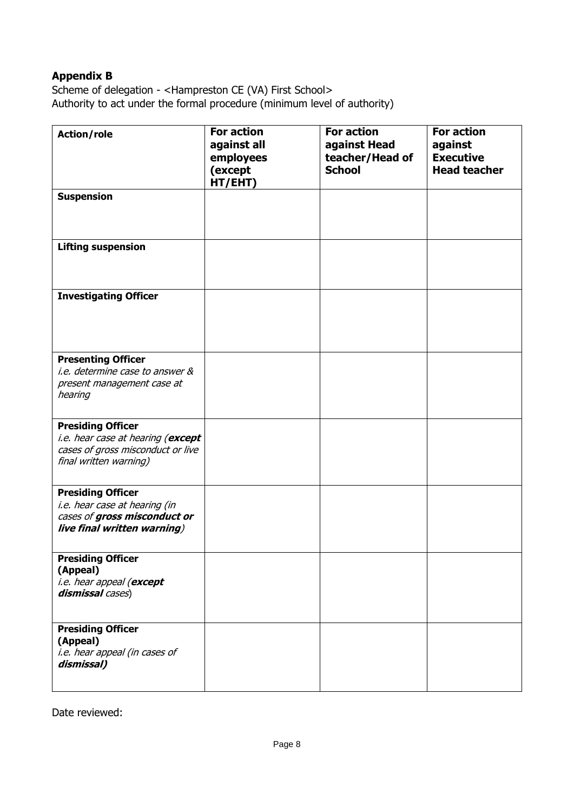## **Appendix B**

Scheme of delegation - <Hampreston CE (VA) First School> Authority to act under the formal procedure (minimum level of authority)

| <b>Action/role</b>                                                                                                           | <b>For action</b><br>against all<br>employees<br>(except<br>HT/EHT) | <b>For action</b><br>against Head<br>teacher/Head of<br><b>School</b> | <b>For action</b><br>against<br><b>Executive</b><br><b>Head teacher</b> |
|------------------------------------------------------------------------------------------------------------------------------|---------------------------------------------------------------------|-----------------------------------------------------------------------|-------------------------------------------------------------------------|
| <b>Suspension</b>                                                                                                            |                                                                     |                                                                       |                                                                         |
| <b>Lifting suspension</b>                                                                                                    |                                                                     |                                                                       |                                                                         |
| <b>Investigating Officer</b>                                                                                                 |                                                                     |                                                                       |                                                                         |
| <b>Presenting Officer</b><br>i.e. determine case to answer &<br>present management case at<br>hearing                        |                                                                     |                                                                       |                                                                         |
| <b>Presiding Officer</b><br>i.e. hear case at hearing (except<br>cases of gross misconduct or live<br>final written warning) |                                                                     |                                                                       |                                                                         |
| <b>Presiding Officer</b><br>i.e. hear case at hearing (in<br>cases of gross misconduct or<br>live final written warning)     |                                                                     |                                                                       |                                                                         |
| <b>Presiding Officer</b><br>(Appeal)<br>i.e. hear appeal (except<br>dismissal cases)                                         |                                                                     |                                                                       |                                                                         |
| <b>Presiding Officer</b><br>(Appeal)<br>i.e. hear appeal (in cases of<br>dismissal)                                          |                                                                     |                                                                       |                                                                         |

Date reviewed: